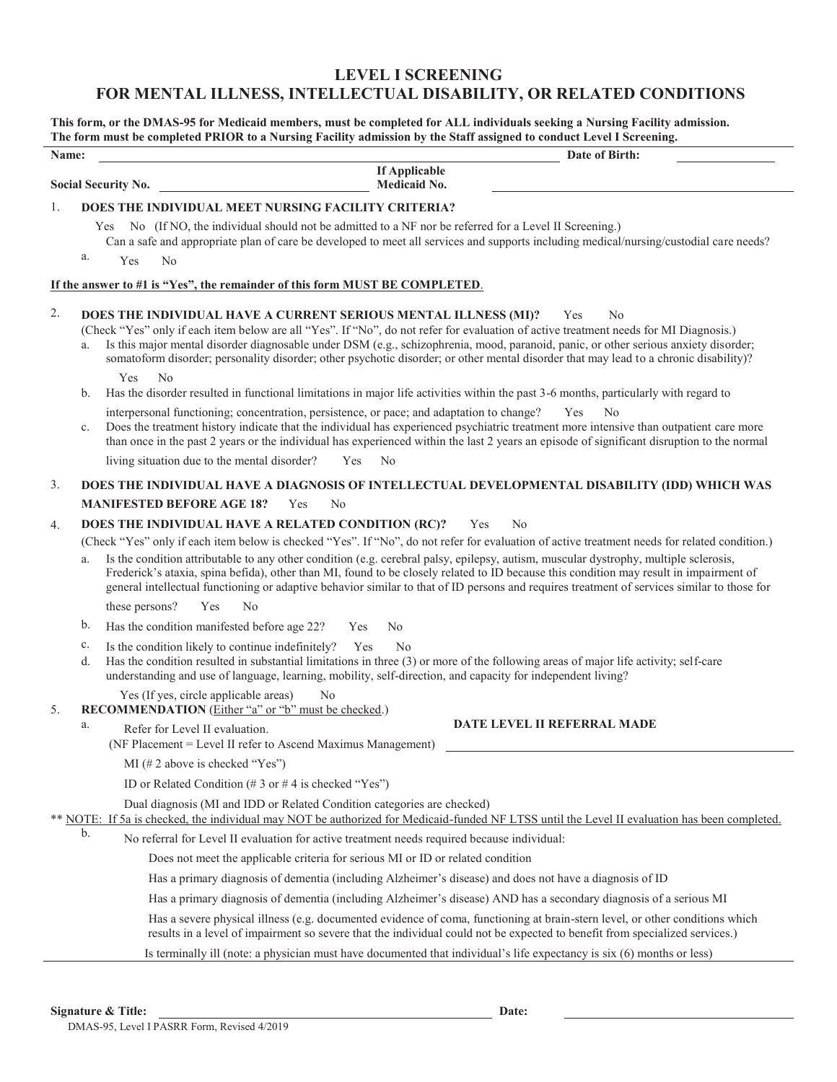# **LEVEL I SCREENING FOR MENTAL ILLNESS, INTELLECTUAL DISABILITY, OR RELATED CONDITIONS**

**This form, or the DMAS-95 for Medicaid members, must be completed for ALL individuals seeking a Nursing Facility admission. The form must be completed PRIOR to a Nursing Facility admission by the Staff assigned to conduct Level I Screening.** 

| Date of Birth:<br>Name:                                                                                                                                                                                                  |                                                                 |                                                                                                                                                                                                                                                                                                                                                                                                                                                                                                                                                                                |
|--------------------------------------------------------------------------------------------------------------------------------------------------------------------------------------------------------------------------|-----------------------------------------------------------------|--------------------------------------------------------------------------------------------------------------------------------------------------------------------------------------------------------------------------------------------------------------------------------------------------------------------------------------------------------------------------------------------------------------------------------------------------------------------------------------------------------------------------------------------------------------------------------|
| <b>If Applicable</b><br><b>Social Security No.</b><br><b>Medicaid No.</b>                                                                                                                                                |                                                                 |                                                                                                                                                                                                                                                                                                                                                                                                                                                                                                                                                                                |
| 1.                                                                                                                                                                                                                       |                                                                 | DOES THE INDIVIDUAL MEET NURSING FACILITY CRITERIA?                                                                                                                                                                                                                                                                                                                                                                                                                                                                                                                            |
|                                                                                                                                                                                                                          | a.                                                              | No (If NO, the individual should not be admitted to a NF nor be referred for a Level II Screening.)<br>Yes<br>Can a safe and appropriate plan of care be developed to meet all services and supports including medical/nursing/custodial care needs?<br>Yes<br>No                                                                                                                                                                                                                                                                                                              |
| If the answer to #1 is "Yes", the remainder of this form MUST BE COMPLETED.                                                                                                                                              |                                                                 |                                                                                                                                                                                                                                                                                                                                                                                                                                                                                                                                                                                |
| 2.                                                                                                                                                                                                                       |                                                                 | DOES THE INDIVIDUAL HAVE A CURRENT SERIOUS MENTAL ILLNESS (MI)?<br>Yes<br>N <sub>0</sub><br>(Check "Yes" only if each item below are all "Yes". If "No", do not refer for evaluation of active treatment needs for MI Diagnosis.)<br>Is this major mental disorder diagnosable under DSM (e.g., schizophrenia, mood, paranoid, panic, or other serious anxiety disorder;<br>somatoform disorder; personality disorder; other psychotic disorder; or other mental disorder that may lead to a chronic disability)?                                                              |
|                                                                                                                                                                                                                          | b.                                                              | No<br>Yes<br>Has the disorder resulted in functional limitations in major life activities within the past 3-6 months, particularly with regard to                                                                                                                                                                                                                                                                                                                                                                                                                              |
|                                                                                                                                                                                                                          | c.                                                              | interpersonal functioning; concentration, persistence, or pace; and adaptation to change?<br>Yes<br>No<br>Does the treatment history indicate that the individual has experienced psychiatric treatment more intensive than outpatient care more<br>than once in the past 2 years or the individual has experienced within the last 2 years an episode of significant disruption to the normal                                                                                                                                                                                 |
|                                                                                                                                                                                                                          |                                                                 | living situation due to the mental disorder?<br>N <sub>o</sub><br>Yes                                                                                                                                                                                                                                                                                                                                                                                                                                                                                                          |
| 3.                                                                                                                                                                                                                       |                                                                 | DOES THE INDIVIDUAL HAVE A DIAGNOSIS OF INTELLECTUAL DEVELOPMENTAL DISABILITY (IDD) WHICH WAS                                                                                                                                                                                                                                                                                                                                                                                                                                                                                  |
|                                                                                                                                                                                                                          | <b>MANIFESTED BEFORE AGE 18?</b><br>Yes<br>No                   |                                                                                                                                                                                                                                                                                                                                                                                                                                                                                                                                                                                |
| 4.                                                                                                                                                                                                                       | DOES THE INDIVIDUAL HAVE A RELATED CONDITION (RC)?<br>No<br>Yes |                                                                                                                                                                                                                                                                                                                                                                                                                                                                                                                                                                                |
|                                                                                                                                                                                                                          | a.                                                              | (Check "Yes" only if each item below is checked "Yes". If "No", do not refer for evaluation of active treatment needs for related condition.)<br>Is the condition attributable to any other condition (e.g. cerebral palsy, epilepsy, autism, muscular dystrophy, multiple sclerosis,<br>Frederick's ataxia, spina befida), other than MI, found to be closely related to ID because this condition may result in impairment of<br>general intellectual functioning or adaptive behavior similar to that of ID persons and requires treatment of services similar to those for |
|                                                                                                                                                                                                                          |                                                                 | these persons?<br>Yes<br>No                                                                                                                                                                                                                                                                                                                                                                                                                                                                                                                                                    |
|                                                                                                                                                                                                                          | b.                                                              | Has the condition manifested before age 22?<br>No<br>Yes                                                                                                                                                                                                                                                                                                                                                                                                                                                                                                                       |
|                                                                                                                                                                                                                          | c.<br>d.                                                        | Is the condition likely to continue indefinitely?<br>N <sub>o</sub><br>Yes<br>Has the condition resulted in substantial limitations in three (3) or more of the following areas of major life activity; self-care<br>understanding and use of language, learning, mobility, self-direction, and capacity for independent living?                                                                                                                                                                                                                                               |
| 5.                                                                                                                                                                                                                       | a.                                                              | Yes (If yes, circle applicable areas)<br>N <sub>0</sub><br>RECOMMENDATION (Either "a" or "b" must be checked.)<br>DATE LEVEL II REFERRAL MADE                                                                                                                                                                                                                                                                                                                                                                                                                                  |
|                                                                                                                                                                                                                          |                                                                 | Refer for Level II evaluation.<br>(NF Placement = Level II refer to Ascend Maximus Management)                                                                                                                                                                                                                                                                                                                                                                                                                                                                                 |
|                                                                                                                                                                                                                          |                                                                 | MI (# 2 above is checked "Yes")                                                                                                                                                                                                                                                                                                                                                                                                                                                                                                                                                |
|                                                                                                                                                                                                                          |                                                                 | ID or Related Condition (# 3 or # 4 is checked "Yes")                                                                                                                                                                                                                                                                                                                                                                                                                                                                                                                          |
| Dual diagnosis (MI and IDD or Related Condition categories are checked)<br>** NOTE: If 5a is checked, the individual may NOT be authorized for Medicaid-funded NF LTSS until the Level II evaluation has been completed. |                                                                 |                                                                                                                                                                                                                                                                                                                                                                                                                                                                                                                                                                                |
|                                                                                                                                                                                                                          | b.                                                              | No referral for Level II evaluation for active treatment needs required because individual:                                                                                                                                                                                                                                                                                                                                                                                                                                                                                    |
|                                                                                                                                                                                                                          |                                                                 | Does not meet the applicable criteria for serious MI or ID or related condition                                                                                                                                                                                                                                                                                                                                                                                                                                                                                                |
|                                                                                                                                                                                                                          |                                                                 | Has a primary diagnosis of dementia (including Alzheimer's disease) and does not have a diagnosis of ID                                                                                                                                                                                                                                                                                                                                                                                                                                                                        |
|                                                                                                                                                                                                                          |                                                                 | Has a primary diagnosis of dementia (including Alzheimer's disease) AND has a secondary diagnosis of a serious MI                                                                                                                                                                                                                                                                                                                                                                                                                                                              |
|                                                                                                                                                                                                                          |                                                                 | Has a severe physical illness (e.g. documented evidence of coma, functioning at brain-stern level, or other conditions which<br>results in a level of impairment so severe that the individual could not be expected to benefit from specialized services.)                                                                                                                                                                                                                                                                                                                    |
|                                                                                                                                                                                                                          |                                                                 | Is terminally ill (note: a physician must have documented that individual's life expectancy is six (6) months or less)                                                                                                                                                                                                                                                                                                                                                                                                                                                         |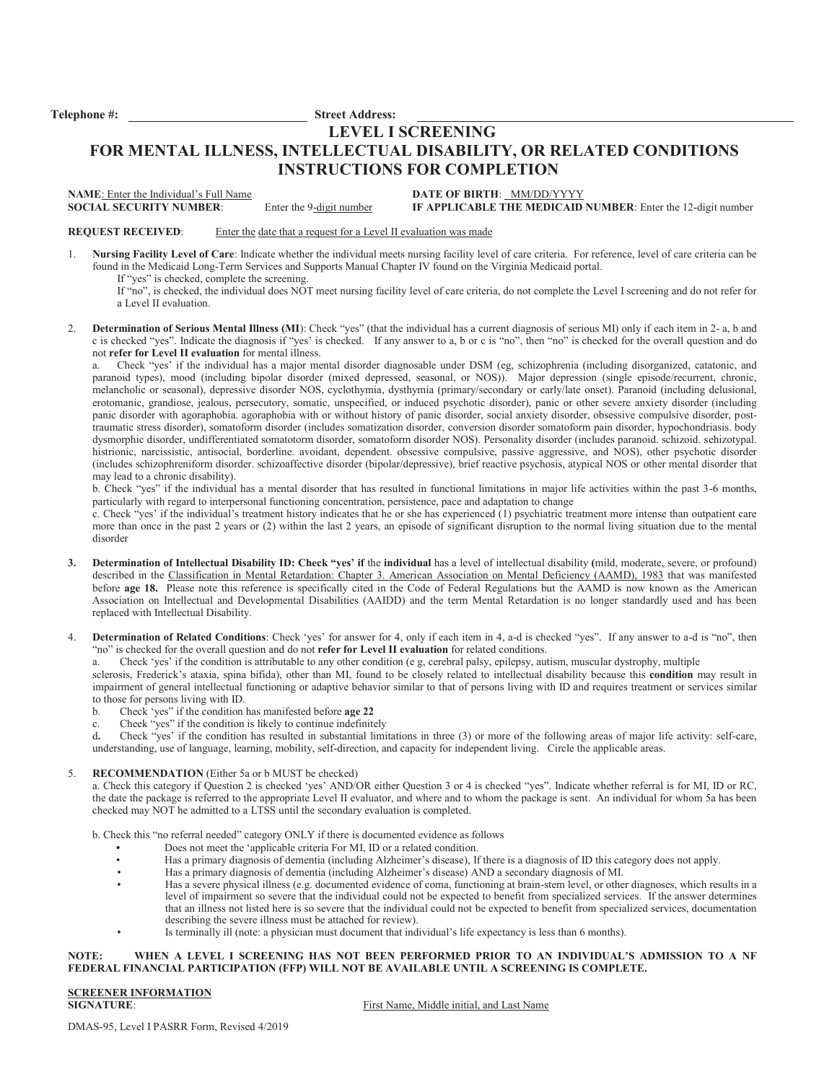**Telephone #: Street Address:** 

### **LEVEL I SCREENING**

## **FOR MENTAL ILLNESS, INTELLECTUAL DISABILITY, OR RELATED CONDITIONS INSTRUCTIONS FOR COMPLETION**

**NAME**: Enter the Individual's Full Name<br> **DATE OF BIRTH:** MM/DD/YYYY<br> **SOCIAL SECURITY NUMBER:** Enter the 9-digit number<br> **IF APPLICABLE THE MEDICAID** 

**SOCIAL SECURITY IF APPLICABLE THE MEDICAID NUMBER:** Enter the 12-digit number

**REQUEST RECEIVED:** Enter the date that a request for a Level II evaluation was made

1. **Nursing Facility Level of Care**: Indicate whether the individual meets nursing facility level of care criteria. For reference, level of care criteria can be found in the Medicaid Long-Term Services and Supports Manual Chapter IV found on the Virginia Medicaid portal. If "yes" is checked, complete the screening.

If "no", is checked, the individual does NOT meet nursing facility level of care criteria, do not complete the Level I screening and do not refer for a Level II evaluation.

**Determination of Serious Mental Illness (MI)**: Check "yes" (that the individual has a current diagnosis of serious MI) only if each item in 2- a, b and c is checked "yes". Indicate the diagnosis if "yes' is checked. If any answer to a, b or c is "no", then "no" is checked for the overall question and do not **refer for Level II evaluation** for mental illness.

a. Check "yes' if the individual has a major mental disorder diagnosable under DSM (eg, schizophrenia (including disorganized, catatonic, and paranoid types), mood (including bipolar disorder (mixed depressed, seasonal, or NOS)). Major depression (single episode/recurrent, chronic, melancholic or seasonal), depressive disorder NOS, cyclothymia, dysthymia (primary/secondary or early/late onset). Paranoid (including delusional, erotomanic, grandiose, jealous, persecutory, somatic, unspecified, or induced psychotic disorder), panic or other severe anxiety disorder (including panic disorder with agoraphobia. agoraphobia with or without history of panic disorder, social anxiety disorder, obsessive compulsive disorder, posttraumatic stress disorder), somatoform disorder (includes somatization disorder, conversion disorder somatoform pain disorder, hypochondriasis. body dysmorphic disorder, undifferentiated somatotorm disorder, somatoform disorder NOS). Personality disorder (includes paranoid. schizoid. sehizotypal. histrionic, narcissistic, antisocial, borderline. avoidant, dependent. obsessive compulsive, passive aggressive, and NOS), other psychotic disorder (includes schizophreniform disorder. schizoaffective disorder (bipolar/depressive), brief reactive psychosis, atypical NOS or other mental disorder that may lead to a chronic disability).

b. Check "yes" if the individual has a mental disorder that has resulted in functional limitations in major life activities within the past 3-6 months, particularly with regard to interpersonal functioning concentration, persistence, pace and adaptation to change

c. Check "yes' if the individual's treatment history indicates that he or she has experienced (1) psychiatric treatment more intense than outpatient care more than once in the past 2 years or (2) within the last 2 years, an episode of significant disruption to the normal living situation due to the mental disorder

- **3. Determination of Intellectual Disability ID: Check "yes' if the individual** has a level of intellectual disability (mild, moderate, severe, or profound) described in the Classification in Mental Retardation: Chapter 3. American Association on Mental Deficiency (AAMD), 1983 that was manifested before **age 18.** Please note this reference is specifically cited in the Code of Federal Regulations but the AAMD is now known as the American Association on Intellectual and Developmental Disabilities (AAIDD) and the term Mental Retardation is no longer standardly used and has been replaced with Intellectual Disability.
- 4. **Determination of Related Conditions**: Check 'yes' for answer for 4, only if each item in 4, a-d is checked "yes". If any answer to a-d is "no", then "no" is checked for the overall question and do not **refer for Level II evaluation** for related conditions.

a. Check 'yes' if the condition is attributable to any other condition (e g, cerebral palsy, epilepsy, autism, muscular dystrophy, multiple

sclerosis, Frederick's ataxia, spina bifida), other than MI, found to be closely related to intellectual disability because this **condition** may result in impairment of general intellectual functioning or adaptive behavior similar to that of persons living with ID and requires treatment or services similar to those for persons living with ID.<br>b. Check 'ves' if the condition

- b. Check 'yes" if the condition has manifested before **age 22**
- c. Cheek "yes" if the condition is likely to continue indefinitely<br>d. Check "yes" if the condition has resulted in substantial limit

d**.** Check "yes' if the condition has resulted in substantial limitations in three (3) or more of the following areas of major life activity: self-care, understanding, use of language, learning, mobility, self-direction, and capacity for independent living. Circle the applicable areas.

#### 5. **RECOMMENDATION** (Either 5a or b MUST be checked)

a. Check this category if Question 2 is checked 'yes' AND/OR either Question 3 or 4 is checked "yes". Indicate whether referral is for MI, ID or RC, the date the package is referred to the appropriate Level II evaluator, and where and to whom the package is sent. An individual for whom 5a has been checked may NOT he admitted to a LTSS until the secondary evaluation is completed.

b. Check this "no referral needed" category ONLY if there is documented evidence as follows

- **•** Does not meet the 'applicable criteria For MI, ID or a related condition.
	- Has a primary diagnosis of dementia (including Alzheimer's disease), If there is a diagnosis of ID this category does not apply.
- Has a primary diagnosis of dementia (including Alzheimer's disease) AND a secondary diagnosis of MI.
- Has a severe physical illness (e.g. documented evidence of coma, functioning at brain-stem level, or other diagnoses, which results in a level of impairment so severe that the individual could not be expected to benefit from specialized services. If the answer determines that an illness not listed here is so severe that the individual could not be expected to benefit from specialized services, documentation describing the severe illness must be attached for review).
- Is terminally ill (note: a physician must document that individual's life expectancy is less than 6 months).

#### **NOTE: WHEN A LEVEL I SCREENING HAS NOT BEEN PERFORMED PRIOR TO AN INDIVIDUAL'S ADMISSION TO A NF FEDERAL FINANCIAL PARTICIPATION (FFP) WILL NOT BE AVAILABLE UNTIL A SCREENING IS COMPLETE.**

**SCREENER INFORMATION** 

First Name, Middle initial, and Last Name